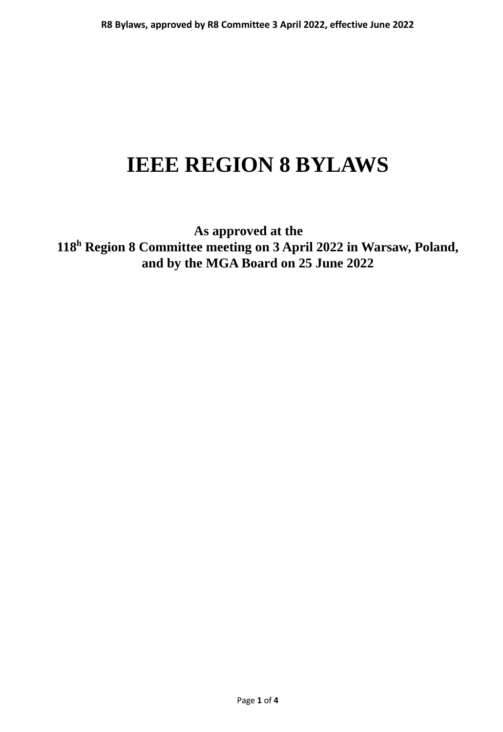# **IEEE REGION 8 BYLAWS**

**As approved at the 118<sup>h</sup> Region 8 Committee meeting on 3 April 2022 in Warsaw, Poland, and by the MGA Board on 25 June 2022**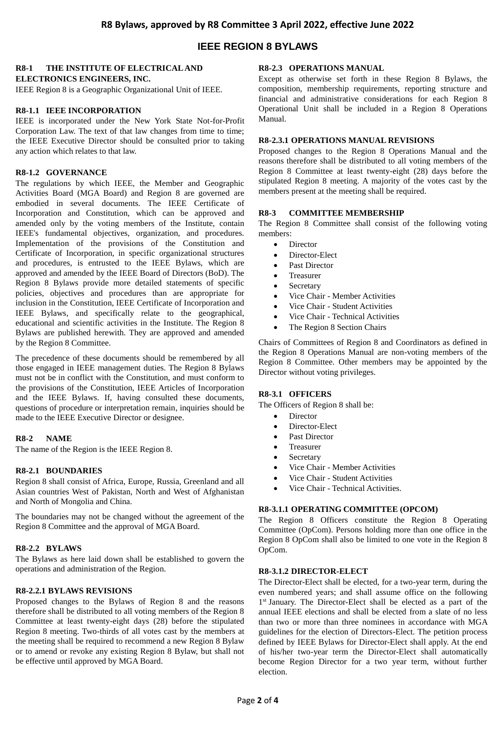# **IEEE REGION 8 BYLAWS**

# **R8-1 THE INSTITUTE OF ELECTRICAL AND**

**ELECTRONICS ENGINEERS, INC.**

IEEE Region 8 is a Geographic Organizational Unit of IEEE.

#### **R8-1.1 IEEE INCORPORATION**

IEEE is incorporated under the New York State Not-for-Profit Corporation Law. The text of that law changes from time to time; the IEEE Executive Director should be consulted prior to taking any action which relates to that law.

#### **R8-1.2 GOVERNANCE**

The regulations by which IEEE, the Member and Geographic Activities Board (MGA Board) and Region 8 are governed are embodied in several documents. The IEEE Certificate of Incorporation and Constitution, which can be approved and amended only by the voting members of the Institute, contain IEEE's fundamental objectives, organization, and procedures. Implementation of the provisions of the Constitution and Certificate of Incorporation, in specific organizational structures and procedures, is entrusted to the IEEE Bylaws, which are approved and amended by the IEEE Board of Directors (BoD). The Region 8 Bylaws provide more detailed statements of specific policies, objectives and procedures than are appropriate for inclusion in the Constitution, IEEE Certificate of Incorporation and IEEE Bylaws, and specifically relate to the geographical, educational and scientific activities in the Institute. The Region 8 Bylaws are published herewith. They are approved and amended by the Region 8 Committee.

The precedence of these documents should be remembered by all those engaged in IEEE management duties. The Region 8 Bylaws must not be in conflict with the Constitution, and must conform to the provisions of the Constitution, IEEE Articles of Incorporation and the IEEE Bylaws. If, having consulted these documents, questions of procedure or interpretation remain, inquiries should be made to the IEEE Executive Director or designee.

#### **R8-2 NAME**

The name of the Region is the IEEE Region 8.

#### **R8-2.1 BOUNDARIES**

Region 8 shall consist of Africa, Europe, Russia, Greenland and all Asian countries West of Pakistan, North and West of Afghanistan and North of Mongolia and China.

The boundaries may not be changed without the agreement of the Region 8 Committee and the approval of MGA Board.

#### **R8-2.2 BYLAWS**

The Bylaws as here laid down shall be established to govern the operations and administration of the Region.

#### **R8-2.2.1 BYLAWS REVISIONS**

Proposed changes to the Bylaws of Region 8 and the reasons therefore shall be distributed to all voting members of the Region 8 Committee at least twenty-eight days (28) before the stipulated Region 8 meeting. Two-thirds of all votes cast by the members at the meeting shall be required to recommend a new Region 8 Bylaw or to amend or revoke any existing Region 8 Bylaw, but shall not be effective until approved by MGA Board.

#### **R8-2.3 OPERATIONS MANUAL**

Except as otherwise set forth in these Region 8 Bylaws, the composition, membership requirements, reporting structure and financial and administrative considerations for each Region 8 Operational Unit shall be included in a Region 8 Operations Manual.

#### **R8-2.3.1 OPERATIONS MANUAL REVISIONS**

Proposed changes to the Region 8 Operations Manual and the reasons therefore shall be distributed to all voting members of the Region 8 Committee at least twenty-eight (28) days before the stipulated Region 8 meeting. A majority of the votes cast by the members present at the meeting shall be required.

#### **R8-3 COMMITTEE MEMBERSHIP**

The Region 8 Committee shall consist of the following voting members:

- Director
- Director-Elect
- Past Director
- Treasurer
- Secretary
- Vice Chair Member Activities
- Vice Chair Student Activities
- Vice Chair Technical Activities
- The Region 8 Section Chairs

Chairs of Committees of Region 8 and Coordinators as defined in the Region 8 Operations Manual are non-voting members of the Region 8 Committee. Other members may be appointed by the Director without voting privileges.

#### **R8-3.1 OFFICERS**

The Officers of Region 8 shall be:

- Director
- Director-Elect
- Past Director
- Treasurer
- Secretary
- Vice Chair Member Activities
- Vice Chair Student Activities
- Vice Chair Technical Activities.

#### **R8-3.1.1 OPERATING COMMITTEE (OPCOM)**

The Region 8 Officers constitute the Region 8 Operating Committee (OpCom). Persons holding more than one office in the Region 8 OpCom shall also be limited to one vote in the Region 8 OpCom.

#### **R8-3.1.2 DIRECTOR-ELECT**

The Director-Elect shall be elected, for a two-year term, during the even numbered years; and shall assume office on the following 1 st January. The Director-Elect shall be elected as a part of the annual IEEE elections and shall be elected from a slate of no less than two or more than three nominees in accordance with MGA guidelines for the election of Directors-Elect. The petition process defined by IEEE Bylaws for Director-Elect shall apply. At the end of his/her two-year term the Director-Elect shall automatically become Region Director for a two year term, without further election.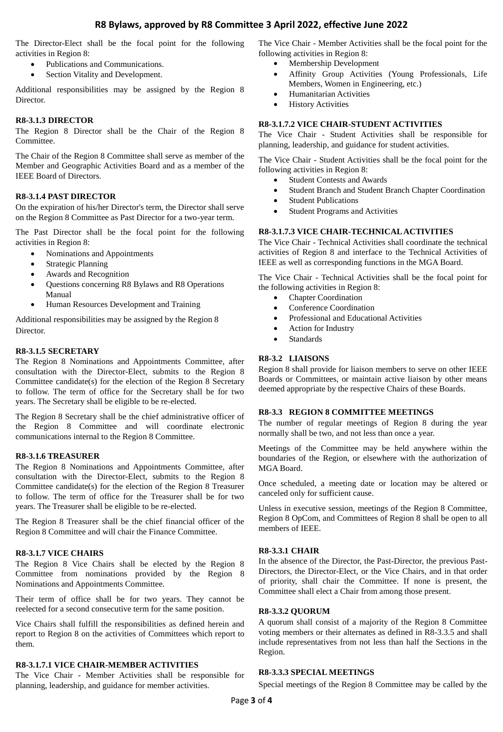### **R8 Bylaws, approved by R8 Committee 3 April 2022, effective June 2022**

The Director-Elect shall be the focal point for the following activities in Region 8:

- Publications and Communications.
- Section Vitality and Development.

Additional responsibilities may be assigned by the Region 8 Director.

#### **R8-3.1.3 DIRECTOR**

The Region 8 Director shall be the Chair of the Region 8 Committee.

The Chair of the Region 8 Committee shall serve as member of the Member and Geographic Activities Board and as a member of the IEEE Board of Directors.

#### **R8-3.1.4 PAST DIRECTOR**

On the expiration of his/her Director's term, the Director shall serve on the Region 8 Committee as Past Director for a two-year term.

The Past Director shall be the focal point for the following activities in Region 8:

- Nominations and Appointments
- Strategic Planning
- Awards and Recognition
- Questions concerning R8 Bylaws and R8 Operations Manual
- Human Resources Development and Training

Additional responsibilities may be assigned by the Region 8 **Director** 

#### **R8-3.1.5 SECRETARY**

The Region 8 Nominations and Appointments Committee, after consultation with the Director-Elect, submits to the Region 8 Committee candidate(s) for the election of the Region 8 Secretary to follow. The term of office for the Secretary shall be for two years. The Secretary shall be eligible to be re-elected.

The Region 8 Secretary shall be the chief administrative officer of the Region 8 Committee and will coordinate electronic communications internal to the Region 8 Committee.

#### **R8-3.1.6 TREASURER**

The Region 8 Nominations and Appointments Committee, after consultation with the Director-Elect, submits to the Region 8 Committee candidate(s) for the election of the Region 8 Treasurer to follow. The term of office for the Treasurer shall be for two years. The Treasurer shall be eligible to be re-elected.

The Region 8 Treasurer shall be the chief financial officer of the Region 8 Committee and will chair the Finance Committee.

#### **R8-3.1.7 VICE CHAIRS**

The Region 8 Vice Chairs shall be elected by the Region 8 Committee from nominations provided by the Region 8 Nominations and Appointments Committee.

Their term of office shall be for two years. They cannot be reelected for a second consecutive term for the same position.

Vice Chairs shall fulfill the responsibilities as defined herein and report to Region 8 on the activities of Committees which report to them.

#### **R8-3.1.7.1 VICE CHAIR-MEMBER ACTIVITIES**

The Vice Chair - Member Activities shall be responsible for planning, leadership, and guidance for member activities.

The Vice Chair - Member Activities shall be the focal point for the following activities in Region 8:

- Membership Development
- Affinity Group Activities (Young Professionals, Life Members, Women in Engineering, etc.)
- Humanitarian Activities
- History Activities

#### **R8-3.1.7.2 VICE CHAIR-STUDENT ACTIVITIES**

The Vice Chair - Student Activities shall be responsible for planning, leadership, and guidance for student activities.

The Vice Chair - Student Activities shall be the focal point for the following activities in Region 8:

- Student Contests and Awards
- Student Branch and Student Branch Chapter Coordination
- Student Publications
- Student Programs and Activities

#### **R8-3.1.7.3 VICE CHAIR-TECHNICAL ACTIVITIES**

The Vice Chair - Technical Activities shall coordinate the technical activities of Region 8 and interface to the Technical Activities of IEEE as well as corresponding functions in the MGA Board.

The Vice Chair - Technical Activities shall be the focal point for the following activities in Region 8:

- Chapter Coordination
- Conference Coordination
- Professional and Educational Activities
- Action for Industry
- Standards

#### **R8-3.2 LIAISONS**

Region 8 shall provide for liaison members to serve on other IEEE Boards or Committees, or maintain active liaison by other means deemed appropriate by the respective Chairs of these Boards.

#### **R8-3.3 REGION 8 COMMITTEE MEETINGS**

The number of regular meetings of Region 8 during the year normally shall be two, and not less than once a year.

Meetings of the Committee may be held anywhere within the boundaries of the Region, or elsewhere with the authorization of MGA Board.

Once scheduled, a meeting date or location may be altered or canceled only for sufficient cause.

Unless in executive session, meetings of the Region 8 Committee, Region 8 OpCom, and Committees of Region 8 shall be open to all members of IEEE.

#### **R8-3.3.1 CHAIR**

In the absence of the Director, the Past-Director, the previous Past-Directors, the Director-Elect, or the Vice Chairs, and in that order of priority, shall chair the Committee. If none is present, the Committee shall elect a Chair from among those present.

#### **R8-3.3.2 QUORUM**

A quorum shall consist of a majority of the Region 8 Committee voting members or their alternates as defined in R8-3.3.5 and shall include representatives from not less than half the Sections in the Region.

#### **R8-3.3.3 SPECIAL MEETINGS**

Special meetings of the Region 8 Committee may be called by the